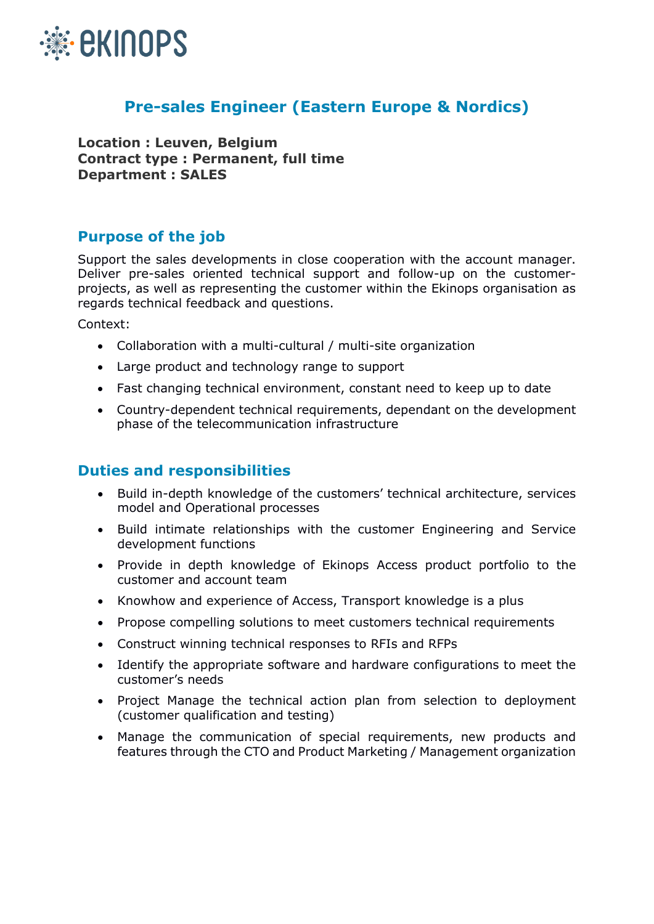

## **Pre-sales Engineer (Eastern Europe & Nordics)**

**Location : Leuven, Belgium Contract type : Permanent, full time Department : SALES**

## **Purpose of the job**

Support the sales developments in close cooperation with the account manager. Deliver pre-sales oriented technical support and follow-up on the customerprojects, as well as representing the customer within the Ekinops organisation as regards technical feedback and questions.

Context:

- Collaboration with a multi-cultural / multi-site organization
- Large product and technology range to support
- Fast changing technical environment, constant need to keep up to date
- Country-dependent technical requirements, dependant on the development phase of the telecommunication infrastructure

## **Duties and responsibilities**

- Build in-depth knowledge of the customers' technical architecture, services model and Operational processes
- Build intimate relationships with the customer Engineering and Service development functions
- Provide in depth knowledge of Ekinops Access product portfolio to the customer and account team
- Knowhow and experience of Access, Transport knowledge is a plus
- Propose compelling solutions to meet customers technical requirements
- Construct winning technical responses to RFIs and RFPs
- Identify the appropriate software and hardware configurations to meet the customer's needs
- Project Manage the technical action plan from selection to deployment (customer qualification and testing)
- Manage the communication of special requirements, new products and features through the CTO and Product Marketing / Management organization